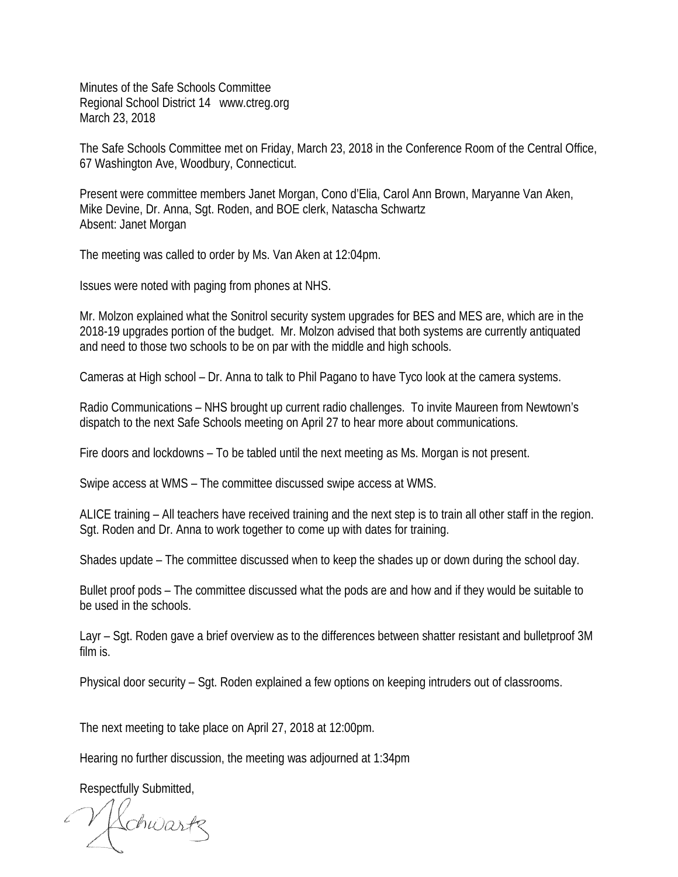Minutes of the Safe Schools Committee Regional School District 14 www.ctreg.org March 23, 2018

The Safe Schools Committee met on Friday, March 23, 2018 in the Conference Room of the Central Office, 67 Washington Ave, Woodbury, Connecticut.

Present were committee members Janet Morgan, Cono d'Elia, Carol Ann Brown, Maryanne Van Aken, Mike Devine, Dr. Anna, Sgt. Roden, and BOE clerk, Natascha Schwartz Absent: Janet Morgan

The meeting was called to order by Ms. Van Aken at 12:04pm.

Issues were noted with paging from phones at NHS.

Mr. Molzon explained what the Sonitrol security system upgrades for BES and MES are, which are in the 2018-19 upgrades portion of the budget. Mr. Molzon advised that both systems are currently antiquated and need to those two schools to be on par with the middle and high schools.

Cameras at High school – Dr. Anna to talk to Phil Pagano to have Tyco look at the camera systems.

Radio Communications – NHS brought up current radio challenges. To invite Maureen from Newtown's dispatch to the next Safe Schools meeting on April 27 to hear more about communications.

Fire doors and lockdowns – To be tabled until the next meeting as Ms. Morgan is not present.

Swipe access at WMS – The committee discussed swipe access at WMS.

ALICE training – All teachers have received training and the next step is to train all other staff in the region. Sgt. Roden and Dr. Anna to work together to come up with dates for training.

Shades update – The committee discussed when to keep the shades up or down during the school day.

Bullet proof pods – The committee discussed what the pods are and how and if they would be suitable to be used in the schools.

Layr – Sgt. Roden gave a brief overview as to the differences between shatter resistant and bulletproof 3M film is.

Physical door security – Sgt. Roden explained a few options on keeping intruders out of classrooms.

The next meeting to take place on April 27, 2018 at 12:00pm.

Hearing no further discussion, the meeting was adjourned at 1:34pm

Respectfully Submitted,

Hchwartz